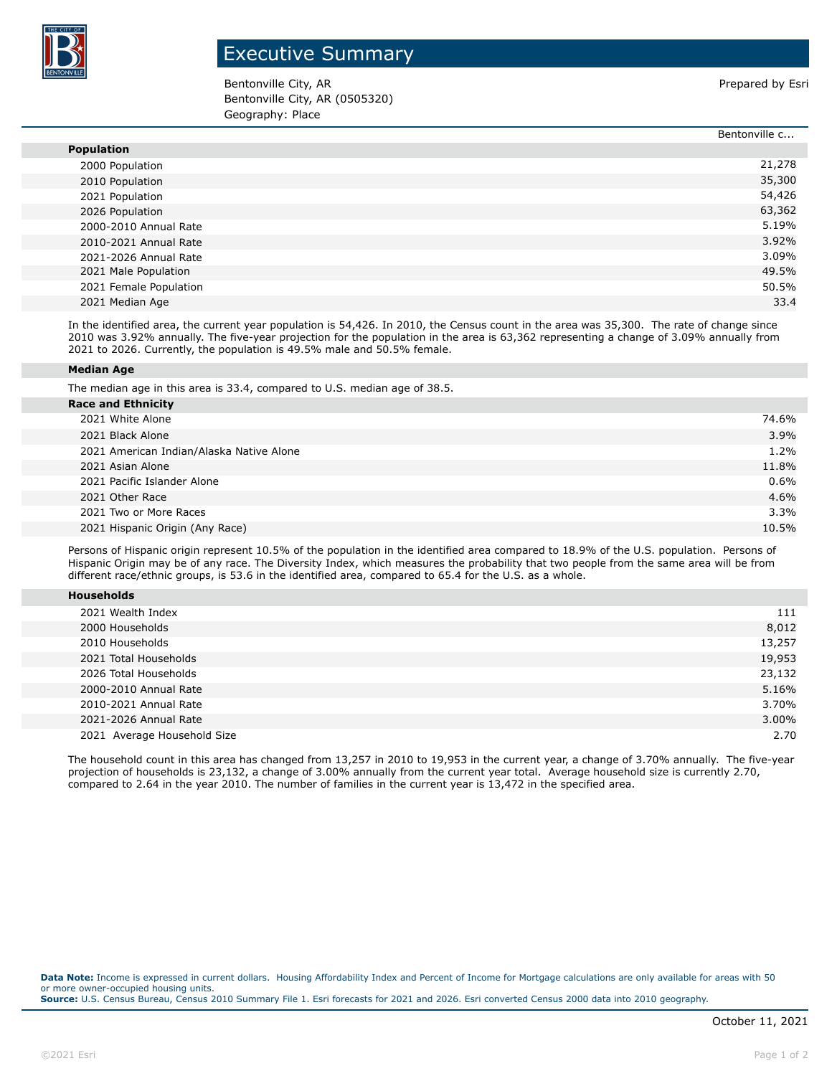

## Executive Summary

Bentonville City, AR **Prepared by Estimate and City, AR** Prepared by Esri Bentonville City, AR (0505320) Geography: Place

|                        | Bentonville c |
|------------------------|---------------|
| <b>Population</b>      |               |
| 2000 Population        | 21,278        |
| 2010 Population        | 35,300        |
| 2021 Population        | 54,426        |
| 2026 Population        | 63,362        |
| 2000-2010 Annual Rate  | 5.19%         |
| 2010-2021 Annual Rate  | 3.92%         |
| 2021-2026 Annual Rate  | 3.09%         |
| 2021 Male Population   | 49.5%         |
| 2021 Female Population | 50.5%         |
| 2021 Median Age        | 33.4          |

In the identified area, the current year population is 54,426. In 2010, the Census count in the area was 35,300. The rate of change since 2010 was 3.92% annually. The five-year projection for the population in the area is 63,362 representing a change of 3.09% annually from 2021 to 2026. Currently, the population is 49.5% male and 50.5% female.

## **Median Age**

The median age in this area is 33.4, compared to U.S. median age of 38.5.

| <b>Race and Ethnicity</b>                |       |
|------------------------------------------|-------|
| 2021 White Alone                         | 74.6% |
| 2021 Black Alone                         | 3.9%  |
| 2021 American Indian/Alaska Native Alone | 1.2%  |
| 2021 Asian Alone                         | 11.8% |
| 2021 Pacific Islander Alone              | 0.6%  |
| 2021 Other Race                          | 4.6%  |
| 2021 Two or More Races                   | 3.3%  |
| 2021 Hispanic Origin (Any Race)          | 10.5% |
|                                          |       |

Persons of Hispanic origin represent 10.5% of the population in the identified area compared to 18.9% of the U.S. population. Persons of Hispanic Origin may be of any race. The Diversity Index, which measures the probability that two people from the same area will be from different race/ethnic groups, is 53.6 in the identified area, compared to 65.4 for the U.S. as a whole.

| 2021 Wealth Index           | 111    |
|-----------------------------|--------|
| 2000 Households             | 8,012  |
| 2010 Households             | 13,257 |
| 2021 Total Households       | 19,953 |
| 2026 Total Households       | 23,132 |
| 2000-2010 Annual Rate       | 5.16%  |
| 2010-2021 Annual Rate       | 3.70%  |
| 2021-2026 Annual Rate       | 3.00%  |
| 2021 Average Household Size | 2.70   |

The household count in this area has changed from 13,257 in 2010 to 19,953 in the current year, a change of 3.70% annually. The five-year projection of households is 23,132, a change of 3.00% annually from the current year total. Average household size is currently 2.70, compared to 2.64 in the year 2010. The number of families in the current year is 13,472 in the specified area.

**Data Note:** Income is expressed in current dollars. Housing Affordability Index and Percent of Income for Mortgage calculations are only available for areas with 50 or more owner-occupied housing units. **Source:** U.S. Census Bureau, Census 2010 Summary File 1. Esri forecasts for 2021 and 2026. Esri converted Census 2000 data into 2010 geography.